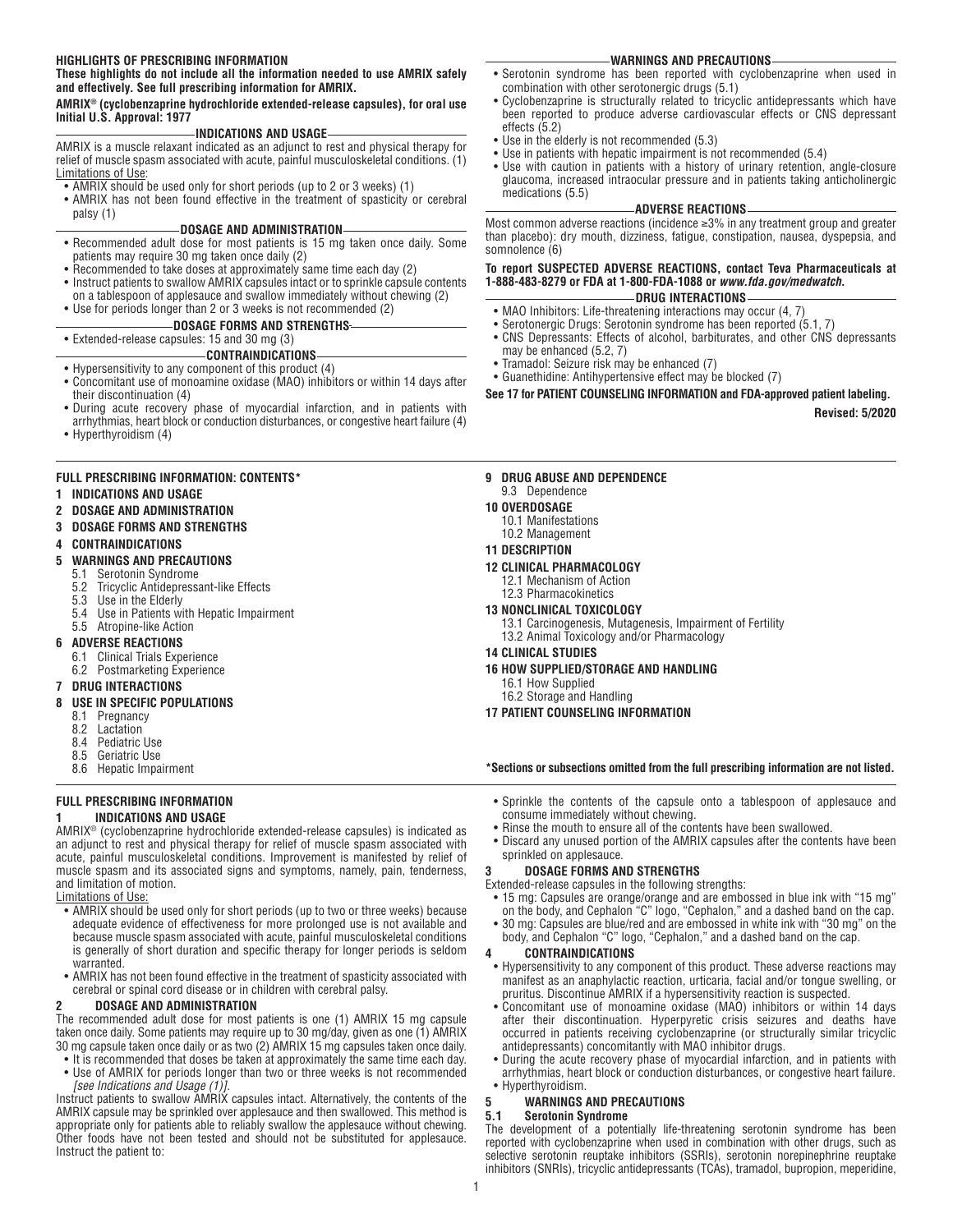#### **HIGHLIGHTS OF PRESCRIBING INFORMATION**

**These highlights do not include all the information needed to use AMRIX safely and effectively. See full prescribing information for AMRIX.**

**AMRIX® (cyclobenzaprine hydrochloride extended-release capsules), for oral use Initial U.S. Approval: 1977**

#### **INDICATIONS AND USAGE**

AMRIX is a muscle relaxant indicated as an adjunct to rest and physical therapy for relief of muscle spasm associated with acute, painful musculoskeletal conditions. (1) Limitations of Use:

- AMRIX should be used only for short periods (up to 2 or 3 weeks) (1)
- AMRIX has not been found effective in the treatment of spasticity or cerebral palsy (1)

#### **DOSAGE AND ADMINISTRATION**

- Recommended adult dose for most patients is 15 mg taken once daily. Some patients may require 30 mg taken once daily (2)
- Recommended to take doses at approximately same time each day (2)
- Instruct patients to swallow AMRIX capsules intact or to sprinkle capsule contents on a tablespoon of applesauce and swallow immediately without chewing (2) • Use for periods longer than 2 or 3 weeks is not recommended (2)

# **DOSAGE FORMS AND STRENGTHS**

• Extended-release capsules: 15 and 30 mg (3)

# **CONTRAINDICATIONS**

- Hypersensitivity to any component of this product (4)
- Concomitant use of monoamine oxidase (MAO) inhibitors or within 14 days after their discontinuation (4)
- During acute recovery phase of myocardial infarction, and in patients with arrhythmias, heart block or conduction disturbances, or congestive heart failure (4)
- Hyperthyroidism (4)

#### **FULL PRESCRIBING INFORMATION: CONTENTS\***

#### **1 INDICATIONS AND USAGE**

- **2 DOSAGE AND ADMINISTRATION**
- **3 DOSAGE FORMS AND STRENGTHS**

#### **4 CONTRAINDICATIONS**

- **5 WARNINGS AND PRECAUTIONS**
- 5.1 Serotonin Syndrome
- 5.2 Tricyclic Antidepressant-like Effects
- Use in the Elderly
- 5.4 Use in Patients with Hepatic Impairment
- 5.5 Atropine-like Action

#### **6 ADVERSE REACTIONS**

- 6.1 Clinical Trials Experience
- 6.2 Postmarketing Experience
- **7 DRUG INTERACTIONS**

#### **8 USE IN SPECIFIC POPULATIONS**

- 8.1 Pregnancy
- 8.2 Lactation<br>8.4 Pediatric
- 
- 8.4 Pediatric Use<br>8.5 Geriatric Use Geriatric Use
- 8.6 Hepatic Impairment

# **FULL PRESCRIBING INFORMATION**

#### **1 INDICATIONS AND USAGE**

AMRIX® (cyclobenzaprine hydrochloride extended-release capsules) is indicated as an adjunct to rest and physical therapy for relief of muscle spasm associated with acute, painful musculoskeletal conditions. Improvement is manifested by relief of muscle spasm and its associated signs and symptoms, namely, pain, tenderness, and limitation of motion.

Limitations of Use:

- AMRIX should be used only for short periods (up to two or three weeks) because adequate evidence of effectiveness for more prolonged use is not available and because muscle spasm associated with acute, painful musculoskeletal conditions is generally of short duration and specific therapy for longer periods is seldom warranted.
- AMRIX has not been found effective in the treatment of spasticity associated with cerebral or spinal cord disease or in children with cerebral palsy.

#### **2 DOSAGE AND ADMINISTRATION**

The recommended adult dose for most patients is one (1) AMRIX 15 mg capsule taken once daily. Some patients may require up to 30 mg/day, given as one (1) AMRIX 30 mg capsule taken once daily or as two (2) AMRIX 15 mg capsules taken once daily.

• It is recommended that doses be taken at approximately the same time each day. • Use of AMRIX for periods longer than two or three weeks is not recommended *[see Indications and Usage (1)]*.

Instruct patients to swallow AMRIX capsules intact. Alternatively, the contents of the AMRIX capsule may be sprinkled over applesauce and then swallowed. This method is appropriate only for patients able to reliably swallow the applesauce without chewing. Other foods have not been tested and should not be substituted for applesauce. Instruct the patient to:

#### **WARNINGS AND PRECAUTIONS**

- Serotonin syndrome has been reported with cyclobenzaprine when used in combination with other serotonergic drugs (5.1)
- Cyclobenzaprine is structurally related to tricyclic antidepressants which have been reported to produce adverse cardiovascular effects or CNS depressant effects (5.2)
- Use in the elderly is not recommended (5.3)
- Use in patients with hepatic impairment is not recommended (5.4)
- Use with caution in patients with a history of urinary retention, angle-closure glaucoma, increased intraocular pressure and in patients taking anticholinergic medications (5.5)

#### **ADVERSE REACTIONS**

Most common adverse reactions (incidence ≥3% in any treatment group and greater than placebo): dry mouth, dizziness, fatigue, constipation, nausea, dyspepsia, and somnolence (6)

# **To report SUSPECTED ADVERSE REACTIONS, contact Teva Pharmaceuticals at 1-888-483-8279 or FDA at 1-800-FDA-1088 or** *www.fda.gov/medwatch***.**

- **DRUG INTERACTIONS**
- MAO Inhibitors: Life-threatening interactions may occur (4, 7)
- Serotonergic Drugs: Serotonin syndrome has been reported (5.1, 7)
- CNS Depressants: Effects of alcohol, barbiturates, and other CNS depressants may be enhanced (5.2, 7)
- Tramadol: Seizure risk may be enhanced (7)
- Guanethidine: Antihypertensive effect may be blocked (7)

**See 17 for PATIENT COUNSELING INFORMATION and FDA-approved patient labeling.** 

**Revised: 5/2020**

**9 DRUG ABUSE AND DEPENDENCE**

#### 9.3 Dependence

- **10 OVERDOSAGE**
	- 10.1 Manifestations
- 10.2 Management
- **11 DESCRIPTION**

### **12 CLINICAL PHARMACOLOGY**

- 12.1 Mechanism of Action 12.3 Pharmacokinetics
- 
- **13 NONCLINICAL TOXICOLOGY** 13.1 Carcinogenesis, Mutagenesis, Impairment of Fertility
	- 13.2 Animal Toxicology and/or Pharmacology

#### **14 CLINICAL STUDIES**

- **16 HOW SUPPLIED/STORAGE AND HANDLING**
- 16.1 How Supplied
- 16.2 Storage and Handling
- **17 PATIENT COUNSELING INFORMATION**

**\*Sections or subsections omitted from the full prescribing information are not listed.**

- Sprinkle the contents of the capsule onto a tablespoon of applesauce and consume immediately without chewing.
- Rinse the mouth to ensure all of the contents have been swallowed.
- Discard any unused portion of the AMRIX capsules after the contents have been sprinkled on applesauce.

### **3 DOSAGE FORMS AND STRENGTHS**

- Extended-release capsules in the following strengths:
- 15 mg: Capsules are orange/orange and are embossed in blue ink with "15 mg" on the body, and Cephalon "C" logo, "Cephalon," and a dashed band on the cap.
- 30 mg: Capsules are blue/red and are embossed in white ink with "30 mg" on the body, and Cephalon "C" logo, "Cephalon," and a dashed band on the cap.

### **4 CONTRAINDICATIONS**

- Hypersensitivity to any component of this product. These adverse reactions may manifest as an anaphylactic reaction, urticaria, facial and/or tongue swelling, or pruritus. Discontinue AMRIX if a hypersensitivity reaction is suspected.
- Concomitant use of monoamine oxidase (MAO) inhibitors or within 14 days after their discontinuation. Hyperpyretic crisis seizures and deaths have occurred in patients receiving cyclobenzaprine (or structurally similar tricyclic antidepressants) concomitantly with MAO inhibitor drugs.
- During the acute recovery phase of myocardial infarction, and in patients with arrhythmias, heart block or conduction disturbances, or congestive heart failure. • Hyperthyroidism.

# **5 WARNINGS AND PRECAUTIONS**

### **5.1 Serotonin Syndrome**

The development of a potentially life-threatening serotonin syndrome has been reported with cyclobenzaprine when used in combination with other drugs, such as selective serotonin reuptake inhibitors (SSRIs), serotonin norepinephrine reuptake inhibitors (SNRIs), tricyclic antidepressants (TCAs), tramadol, bupropion, meperidine,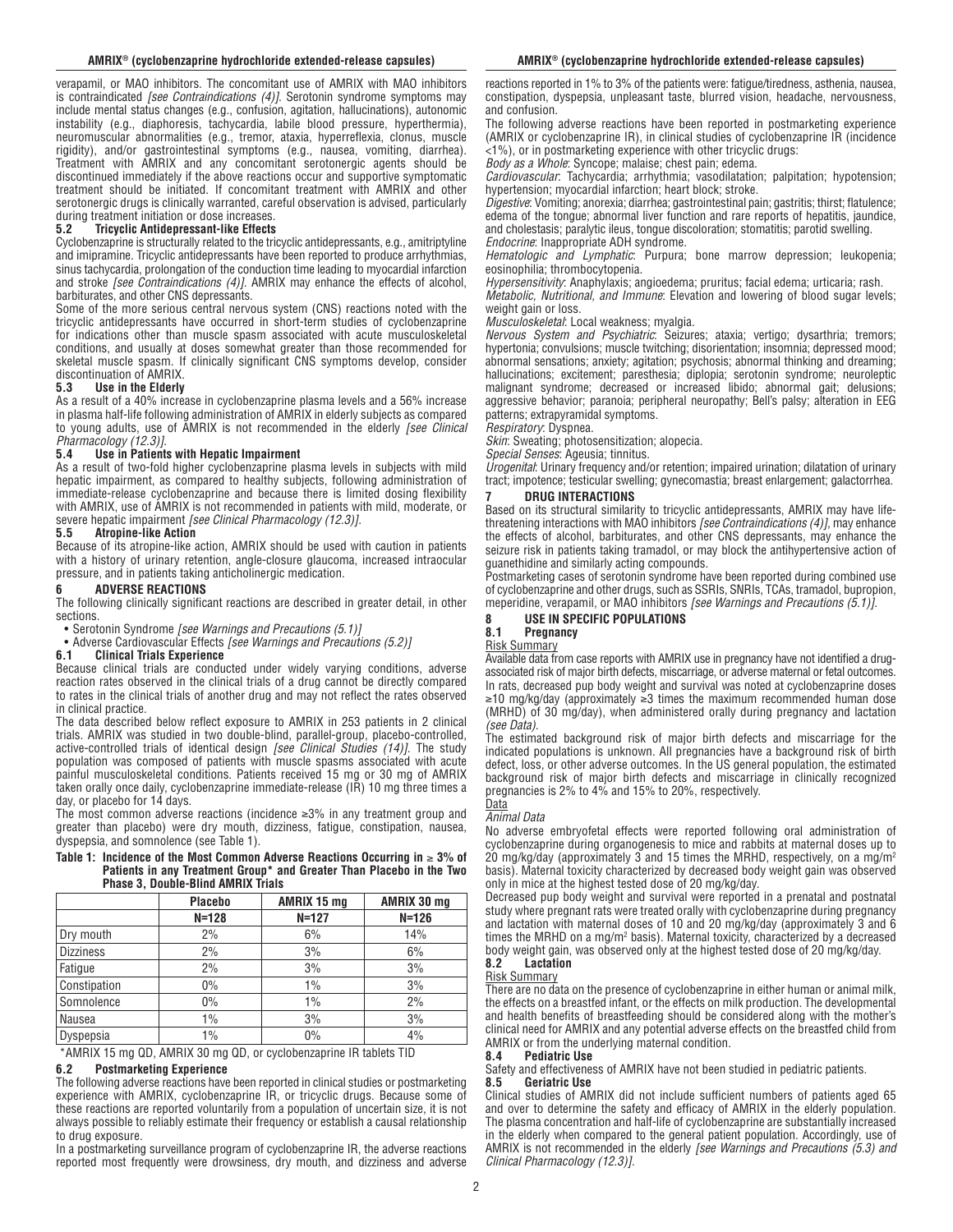verapamil, or MAO inhibitors. The concomitant use of AMRIX with MAO inhibitors is contraindicated *[see Contraindications (4)]*. Serotonin syndrome symptoms may include mental status changes (e.g., confusion, agitation, hallucinations), autonomic instability (e.g., diaphoresis, tachycardia, labile blood pressure, hyperthermia), neuromuscular abnormalities (e.g., tremor, ataxia, hyperreflexia, clonus, muscle rigidity), and/or gastrointestinal symptoms (e.g., nausea, vomiting, diarrhea). Treatment with AMRIX and any concomitant serotonergic agents should be discontinued immediately if the above reactions occur and supportive symptomatic treatment should be initiated. If concomitant treatment with AMRIX and other serotonergic drugs is clinically warranted, careful observation is advised, particularly

#### during treatment initiation or dose increases.<br>5.2 Tricyclic Antidepressant-like Effects **5.2 Tricyclic Antidepressant-like Effects**

Cyclobenzaprine is structurally related to the tricyclic antidepressants, e.g., amitriptyline and imipramine. Tricyclic antidepressants have been reported to produce arrhythmias, sinus tachycardia, prolongation of the conduction time leading to myocardial infarction and stroke *[see Contraindications (4)]*. AMRIX may enhance the effects of alcohol, barbiturates, and other CNS depressants.

Some of the more serious central nervous system (CNS) reactions noted with the tricyclic antidepressants have occurred in short-term studies of cyclobenzaprine for indications other than muscle spasm associated with acute musculoskeletal conditions, and usually at doses somewhat greater than those recommended for skeletal muscle spasm. If clinically significant CNS symptoms develop, consider discontinuation of AMRIX.<br>5.3. **Ilse in the Elderly** 

#### **5.3 Use in the Elderly**

As a result of a 40% increase in cyclobenzaprine plasma levels and a 56% increase in plasma half-life following administration of AMRIX in elderly subjects as compared to young adults, use of AMRIX is not recommended in the elderly *[see Clinical Pharmacology (12.3)]*.

## **5.4 Use in Patients with Hepatic Impairment**

As a result of two-fold higher cyclobenzaprine plasma levels in subjects with mild hepatic impairment, as compared to healthy subjects, following administration of immediate-release cyclobenzaprine and because there is limited dosing flexibility with AMRIX, use of AMRIX is not recommended in patients with mild, moderate, or severe hepatic impairment *[see Clinical Pharmacology (12.3)]*.

#### **5.5 Atropine-like Action**

Because of its atropine-like action, AMRIX should be used with caution in patients with a history of urinary retention, angle-closure glaucoma, increased intraocular pressure, and in patients taking anticholinergic medication.

#### **6 ADVERSE REACTIONS**

The following clinically significant reactions are described in greater detail, in other sections.

• Serotonin Syndrome *[see Warnings and Precautions (5.1)]*

• Adverse Cardiovascular Effects *[see Warnings and Precautions (5.2)]*

#### **6.1 Clinical Trials Experience**

Because clinical trials are conducted under widely varying conditions, adverse reaction rates observed in the clinical trials of a drug cannot be directly compared to rates in the clinical trials of another drug and may not reflect the rates observed in clinical practice.

The data described below reflect exposure to AMRIX in 253 patients in 2 clinical trials. AMRIX was studied in two double-blind, parallel-group, placebo-controlled, active-controlled trials of identical design *[see Clinical Studies (14)]*. The study population was composed of patients with muscle spasms associated with acute painful musculoskeletal conditions. Patients received 15 mg or 30 mg of AMRIX taken orally once daily, cyclobenzaprine immediate-release (IR) 10 mg three times a day, or placebo for 14 days.

The most common adverse reactions (incidence ≥3% in any treatment group and greater than placebo) were dry mouth, dizziness, fatigue, constipation, nausea, dyspepsia, and somnolence (see Table 1).

#### **Table 1: Incidence of the Most Common Adverse Reactions Occurring in** ≥ **3% of Patients in any Treatment Group\* and Greater Than Placebo in the Two Phase 3, Double-Blind AMRIX Trials**

|                  | <b>Placebo</b> | AMRIX 15 mg | AMRIX 30 mg |
|------------------|----------------|-------------|-------------|
|                  | $N = 128$      | $N = 127$   | $N = 126$   |
| Dry mouth        | 2%             | 6%          | 14%         |
| <b>Dizziness</b> | 2%             | 3%          | 6%          |
| Fatigue          | 2%             | 3%          | 3%          |
| Constipation     | $0\%$          | 1%          | 3%          |
| Somnolence       | $0\%$          | $1\%$       | 2%          |
| Nausea           | 1%             | 3%          | 3%          |
| Dyspepsia        | $1\%$          | 0%          | 4%          |

\*AMRIX 15 mg QD, AMRIX 30 mg QD, or cyclobenzaprine IR tablets TID

# **6.2 Postmarketing Experience**

The following adverse reactions have been reported in clinical studies or postmarketing experience with AMRIX, cyclobenzaprine IR, or tricyclic drugs. Because some of these reactions are reported voluntarily from a population of uncertain size, it is not always possible to reliably estimate their frequency or establish a causal relationship to drug exposure.

In a postmarketing surveillance program of cyclobenzaprine IR, the adverse reactions reported most frequently were drowsiness, dry mouth, and dizziness and adverse

reactions reported in 1% to 3% of the patients were: fatigue/tiredness, asthenia, nausea, constipation, dyspepsia, unpleasant taste, blurred vision, headache, nervousness, and confusion.

The following adverse reactions have been reported in postmarketing experience (AMRIX or cyclobenzaprine IR), in clinical studies of cyclobenzaprine IR (incidence <1%), or in postmarketing experience with other tricyclic drugs:

*Body as a Whole*: Syncope; malaise; chest pain; edema.

*Cardiovascular*: Tachycardia; arrhythmia; vasodilatation; palpitation; hypotension; hypertension; myocardial infarction; heart block; stroke.

*Digestive*: Vomiting; anorexia; diarrhea; gastrointestinal pain; gastritis; thirst; flatulence; edema of the tongue; abnormal liver function and rare reports of hepatitis, jaundice, and cholestasis; paralytic ileus, tongue discoloration; stomatitis; parotid swelling. *Endocrine*: Inappropriate ADH syndrome.

*Hematologic and Lymphatic*: Purpura; bone marrow depression; leukopenia; eosinophilia; thrombocytopenia.

*Hypersensitivity*: Anaphylaxis; angioedema; pruritus; facial edema; urticaria; rash. *Metabolic, Nutritional, and Immune*: Elevation and lowering of blood sugar levels; weight gain or loss.

*Musculoskeletal*: Local weakness; myalgia.

*Nervous System and Psychiatric*: Seizures; ataxia; vertigo; dysarthria; tremors; hypertonia; convulsions; muscle twitching; disorientation; insomnia; depressed mood; abnormal sensations; anxiety; agitation; psychosis; abnormal thinking and dreaming; hallucinations; excitement; paresthesia; diplopia; serotonin syndrome; neuroleptic malignant syndrome; decreased or increased libido; abnormal gait; delusions; aggressive behavior; paranoia; peripheral neuropathy; Bell's palsy; alteration in EEG patterns; extrapyramidal symptoms.

*Respiratory*: Dyspnea.

*Skin*: Sweating; photosensitization; alopecia.

*Special Senses*: Ageusia; tinnitus.

*Urogenital*: Urinary frequency and/or retention; impaired urination; dilatation of urinary tract; impotence; testicular swelling; gynecomastia; breast enlargement; galactorrhea.

# **7 DRUG INTERACTIONS**

Based on its structural similarity to tricyclic antidepressants, AMRIX may have lifethreatening interactions with MAO inhibitors *[see Contraindications (4)]*, may enhance the effects of alcohol, barbiturates, and other CNS depressants, may enhance the seizure risk in patients taking tramadol, or may block the antihypertensive action of guanethidine and similarly acting compounds.

Postmarketing cases of serotonin syndrome have been reported during combined use of cyclobenzaprine and other drugs, such as SSRIs, SNRIs, TCAs, tramadol, bupropion, meperidine, verapamil, or MAO inhibitors *[see Warnings and Precautions (5.1)]*.

# **8 USE IN SPECIFIC POPULATIONS**

**8.1 Pregnancy**

**Risk Summary** 

Available data from case reports with AMRIX use in pregnancy have not identified a drugassociated risk of major birth defects, miscarriage, or adverse maternal or fetal outcomes. In rats, decreased pup body weight and survival was noted at cyclobenzaprine doses ≥10 mg/kg/day (approximately ≥3 times the maximum recommended human dose (MRHD) of 30 mg/day), when administered orally during pregnancy and lactation *(see Data)*.

The estimated background risk of major birth defects and miscarriage for the indicated populations is unknown. All pregnancies have a background risk of birth defect, loss, or other adverse outcomes. In the US general population, the estimated background risk of major birth defects and miscarriage in clinically recognized pregnancies is 2% to 4% and 15% to 20%, respectively.

#### Data *Animal Data*

No adverse embryofetal effects were reported following oral administration of cyclobenzaprine during organogenesis to mice and rabbits at maternal doses up to 20 mg/kg/day (approximately 3 and 15 times the MRHD, respectively, on a mg/m2 basis). Maternal toxicity characterized by decreased body weight gain was observed only in mice at the highest tested dose of 20 mg/kg/day.

Decreased pup body weight and survival were reported in a prenatal and postnatal study where pregnant rats were treated orally with cyclobenzaprine during pregnancy and lactation with maternal doses of 10 and 20 mg/kg/day (approximately 3 and 6 times the MRHD on a mg/m<sup>2</sup> basis). Maternal toxicity, characterized by a decreased body weight gain, was observed only at the highest tested dose of 20 mg/kg/day.<br> **8.2 Lactation** 

#### **8.2 Lactation** Risk Summary

There are no data on the presence of cyclobenzaprine in either human or animal milk, the effects on a breastfed infant, or the effects on milk production. The developmental and health benefits of breastfeeding should be considered along with the mother's clinical need for AMRIX and any potential adverse effects on the breastfed child from

#### AMRIX or from the underlying maternal condition.<br>**8.4** Pediatric Use **8.4 Pediatric Use**

Safety and effectiveness of AMRIX have not been studied in pediatric patients.

#### **8.5 Geriatric Use**

Clinical studies of AMRIX did not include sufficient numbers of patients aged 65 and over to determine the safety and efficacy of AMRIX in the elderly population. The plasma concentration and half-life of cyclobenzaprine are substantially increased in the elderly when compared to the general patient population. Accordingly, use of AMRIX is not recommended in the elderly *[see Warnings and Precautions (5.3) and Clinical Pharmacology (12.3)].*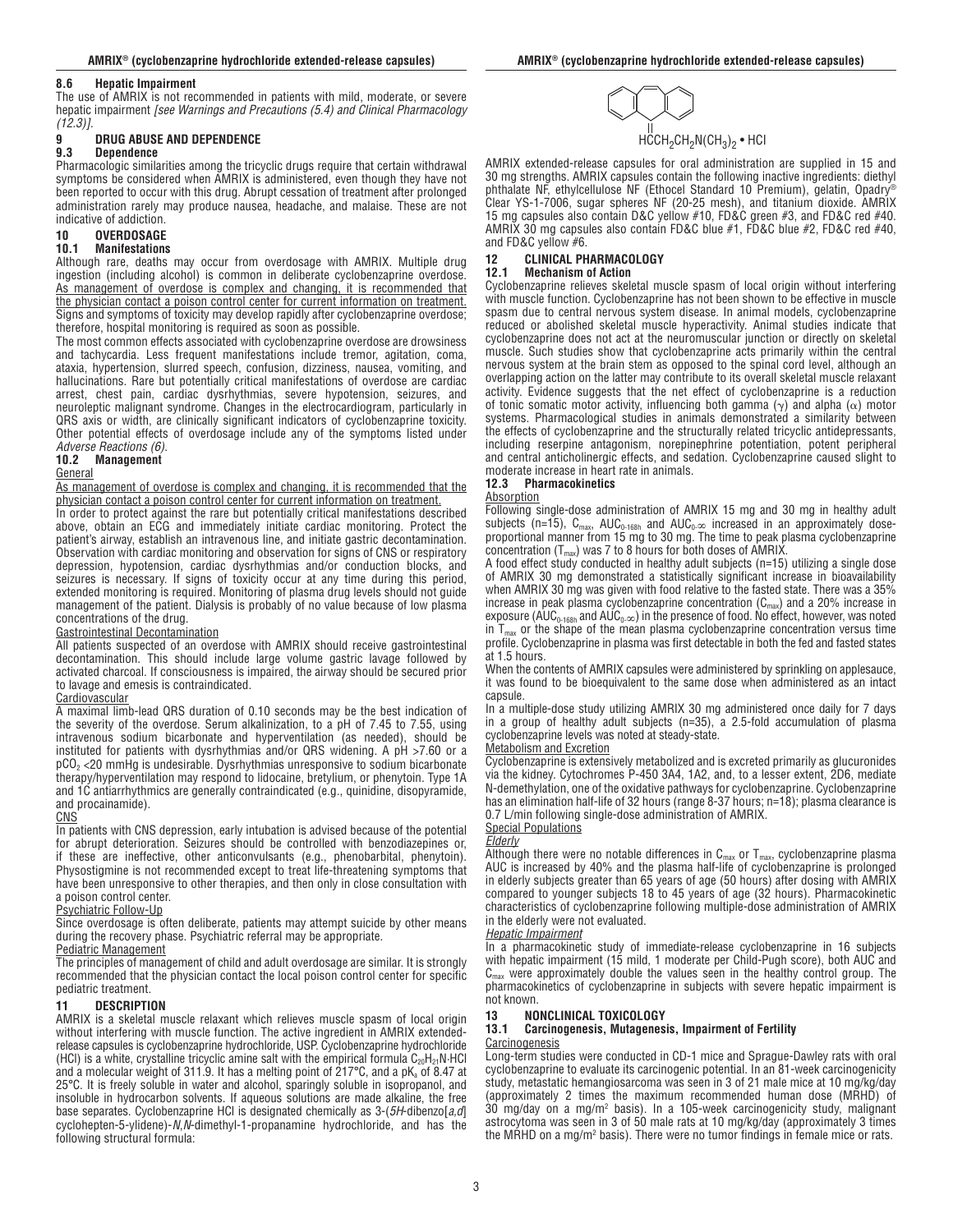#### **8.6 Hepatic Impairment**

The use of AMRIX is not recommended in patients with mild, moderate, or severe hepatic impairment *[see Warnings and Precautions (5.4) and Clinical Pharmacology (12.3)].*

# **9 DRUG ABUSE AND DEPENDENCE**

#### **9.3 Dependence**

Pharmacologic similarities among the tricyclic drugs require that certain withdrawal symptoms be considered when AMRIX is administered, even though they have not been reported to occur with this drug. Abrupt cessation of treatment after prolonged administration rarely may produce nausea, headache, and malaise. These are not indicative of addiction.

# **10 OVERDOSAGE**

# **10.1 Manifestations**

Although rare, deaths may occur from overdosage with AMRIX. Multiple drug ingestion (including alcohol) is common in deliberate cyclobenzaprine overdose. As management of overdose is complex and changing, it is recommended that the physician contact a poison control center for current information on treatment. Signs and symptoms of toxicity may develop rapidly after cyclobenzaprine overdose; therefore, hospital monitoring is required as soon as possible.

The most common effects associated with cyclobenzaprine overdose are drowsiness and tachycardia. Less frequent manifestations include tremor, agitation, coma, ataxia, hypertension, slurred speech, confusion, dizziness, nausea, vomiting, and hallucinations. Rare but potentially critical manifestations of overdose are cardiac arrest, chest pain, cardiac dysrhythmias, severe hypotension, seizures, and neuroleptic malignant syndrome. Changes in the electrocardiogram, particularly in QRS axis or width, are clinically significant indicators of cyclobenzaprine toxicity. Other potential effects of overdosage include any of the symptoms listed under *Adverse Reactions (6)*.

# **10.2 Management**

### **General**

As management of overdose is complex and changing, it is recommended that the physician contact a poison control center for current information on treatment.

In order to protect against the rare but potentially critical manifestations described above, obtain an ECG and immediately initiate cardiac monitoring. Protect the patient's airway, establish an intravenous line, and initiate gastric decontamination. Observation with cardiac monitoring and observation for signs of CNS or respiratory depression, hypotension, cardiac dysrhythmias and/or conduction blocks, and seizures is necessary. If signs of toxicity occur at any time during this period, extended monitoring is required. Monitoring of plasma drug levels should not guide management of the patient. Dialysis is probably of no value because of low plasma concentrations of the drug.

#### Gastrointestinal Decontamination

All patients suspected of an overdose with AMRIX should receive gastrointestinal decontamination. This should include large volume gastric lavage followed by activated charcoal. If consciousness is impaired, the airway should be secured prior to lavage and emesis is contraindicated.

#### Cardiovascular

A maximal limb-lead QRS duration of 0.10 seconds may be the best indication of the severity of the overdose. Serum alkalinization, to a pH of 7.45 to 7.55, using intravenous sodium bicarbonate and hyperventilation (as needed), should be instituted for patients with dysrhythmias and/or QRS widening. A  $pH > 7.60$  or a pCO2 <20 mmHg is undesirable. Dysrhythmias unresponsive to sodium bicarbonate therapy/hyperventilation may respond to lidocaine, bretylium, or phenytoin. Type 1A and 1C antiarrhythmics are generally contraindicated (e.g., quinidine, disopyramide, and procainamide).

#### CNS

In patients with CNS depression, early intubation is advised because of the potential for abrupt deterioration. Seizures should be controlled with benzodiazepines or, if these are ineffective, other anticonvulsants (e.g., phenobarbital, phenytoin). Physostigmine is not recommended except to treat life-threatening symptoms that have been unresponsive to other therapies, and then only in close consultation with a poison control center.

#### Psychiatric Follow-Up

Since overdosage is often deliberate, patients may attempt suicide by other means during the recovery phase. Psychiatric referral may be appropriate.

#### Pediatric Management

The principles of management of child and adult overdosage are similar. It is strongly recommended that the physician contact the local poison control center for specific pediatric treatment.

#### **11 DESCRIPTION**

AMRIX is a skeletal muscle relaxant which relieves muscle spasm of local origin without interfering with muscle function. The active ingredient in AMRIX extendedrelease capsules is cyclobenzaprine hydrochloride, USP. Cyclobenzaprine hydrochloride (HCl) is a white, crystalline tricyclic amine salt with the empirical formula  $C_{20}H_{21}N \cdot HCl$ and a molecular weight of 311.9. It has a melting point of  $217^{\circ}$ C, and a pK<sub>a</sub> of 8.47 at 25°C. It is freely soluble in water and alcohol, sparingly soluble in isopropanol, and insoluble in hydrocarbon solvents. If aqueous solutions are made alkaline, the free base separates. Cyclobenzaprine HCl is designated chemically as 3-(*5H*-dibenzo[*a,d*] cyclohepten-5-ylidene)-*N*,*N*-dimethyl-1-propanamine hydrochloride, and has the following structural formula:



AMRIX extended-release capsules for oral administration are supplied in 15 and 30 mg strengths. AMRIX capsules contain the following inactive ingredients: diethyl phthalate NF, ethylcellulose NF (Ethocel Standard 10 Premium), gelatin, Opadry® Clear YS-1-7006, sugar spheres NF (20-25 mesh), and titanium dioxide. AMRIX 15 mg capsules also contain D&C yellow #10, FD&C green #3, and FD&C red #40. AMRIX 30 mg capsules also contain FD&C blue #1, FD&C blue #2, FD&C red #40, and FD&C yellow #6.

# **12 CLINICAL PHARMACOLOGY**

### **12.1 Mechanism of Action**

Cyclobenzaprine relieves skeletal muscle spasm of local origin without interfering with muscle function. Cyclobenzaprine has not been shown to be effective in muscle spasm due to central nervous system disease. In animal models, cyclobenzaprine reduced or abolished skeletal muscle hyperactivity. Animal studies indicate that cyclobenzaprine does not act at the neuromuscular junction or directly on skeletal muscle. Such studies show that cyclobenzaprine acts primarily within the central nervous system at the brain stem as opposed to the spinal cord level, although an overlapping action on the latter may contribute to its overall skeletal muscle relaxant activity. Evidence suggests that the net effect of cyclobenzaprine is a reduction of tonic somatic motor activity, influencing both gamma ( $\gamma$ ) and alpha ( $\alpha$ ) motor systems. Pharmacological studies in animals demonstrated a similarity between the effects of cyclobenzaprine and the structurally related tricyclic antidepressants, including reserpine antagonism, norepinephrine potentiation, potent peripheral and central anticholinergic effects, and sedation. Cyclobenzaprine caused slight to moderate increase in heart rate in animals.<br>**12.3** Pharmacokinetics

#### **12.3 Pharmacokinetics**

#### Absorption

Following single-dose administration of AMRIX 15 mg and 30 mg in healthy adult subjects (n=15),  $C_{\text{max}}$ , AUC<sub>0-168h</sub> and AUC<sub>0-∞</sub> increased in an approximately doseproportional manner from 15 mg to 30 mg. The time to peak plasma cyclobenzaprine concentration ( $T_{\text{max}}$ ) was 7 to 8 hours for both doses of AMRIX.

A food effect study conducted in healthy adult subjects (n=15) utilizing a single dose of AMRIX 30 mg demonstrated a statistically significant increase in bioavailability when AMRIX 30 mg was given with food relative to the fasted state. There was a 35% increase in peak plasma cyclobenzaprine concentration  $(C_{\text{max}})$  and a 20% increase in exposure ( $AUC_{0-168h}$  and  $AUC_{0-\infty}$ ) in the presence of food. No effect, however, was noted  $\overline{T}_{\text{max}}$  or the shape of the mean plasma cyclobenzaprine concentration versus time profile. Cyclobenzaprine in plasma was first detectable in both the fed and fasted states at 1.5 hours.

When the contents of AMRIX capsules were administered by sprinkling on applesauce, it was found to be bioequivalent to the same dose when administered as an intact capsule.

In a multiple-dose study utilizing AMRIX 30 mg administered once daily for 7 days in a group of healthy adult subjects (n=35), a 2.5-fold accumulation of plasma cyclobenzaprine levels was noted at steady-state.

#### Metabolism and Excretion

Cyclobenzaprine is extensively metabolized and is excreted primarily as glucuronides via the kidney. Cytochromes P-450 3A4, 1A2, and, to a lesser extent, 2D6, mediate N-demethylation, one of the oxidative pathways for cyclobenzaprine. Cyclobenzaprine has an elimination half-life of 32 hours (range 8-37 hours; n=18); plasma clearance is 0.7 L/min following single-dose administration of AMRIX.

# **Special Populations**

#### *Elderly*

Although there were no notable differences in C<sub>max</sub> or T<sub>max</sub>, cyclobenzaprine plasma<br>AUC is increased by 40% and the plasma half-life of cyclobenzaprine is prolonged in elderly subjects greater than 65 years of age (50 hours) after dosing with AMRIX compared to younger subjects 18 to 45 years of age (32 hours). Pharmacokinetic characteristics of cyclobenzaprine following multiple-dose administration of AMRIX in the elderly were not evaluated.

#### *Hepatic Impairment*

In a pharmacokinetic study of immediate-release cyclobenzaprine in 16 subjects with hepatic impairment (15 mild, 1 moderate per Child-Pugh score), both AUC and  $C<sub>max</sub>$  were approximately double the values seen in the healthy control group. The pharmacokinetics of cyclobenzaprine in subjects with severe hepatic impairment is not known.

# **13 NONCLINICAL TOXICOLOGY**

#### **13.1 Carcinogenesis, Mutagenesis, Impairment of Fertility**

#### **Carcinogenesis**

**Long-term studies were conducted in CD-1 mice and Sprague-Dawley rats with oral** cyclobenzaprine to evaluate its carcinogenic potential. In an 81-week carcinogenicity study, metastatic hemangiosarcoma was seen in 3 of 21 male mice at 10 mg/kg/day (approximately 2 times the maximum recommended human dose (MRHD) of 30 mg/day on a mg/m2 basis). In a 105-week carcinogenicity study, malignant astrocytoma was seen in 3 of 50 male rats at 10 mg/kg/day (approximately 3 times the MRHD on a mg/m<sup>2</sup> basis). There were no tumor findings in female mice or rats.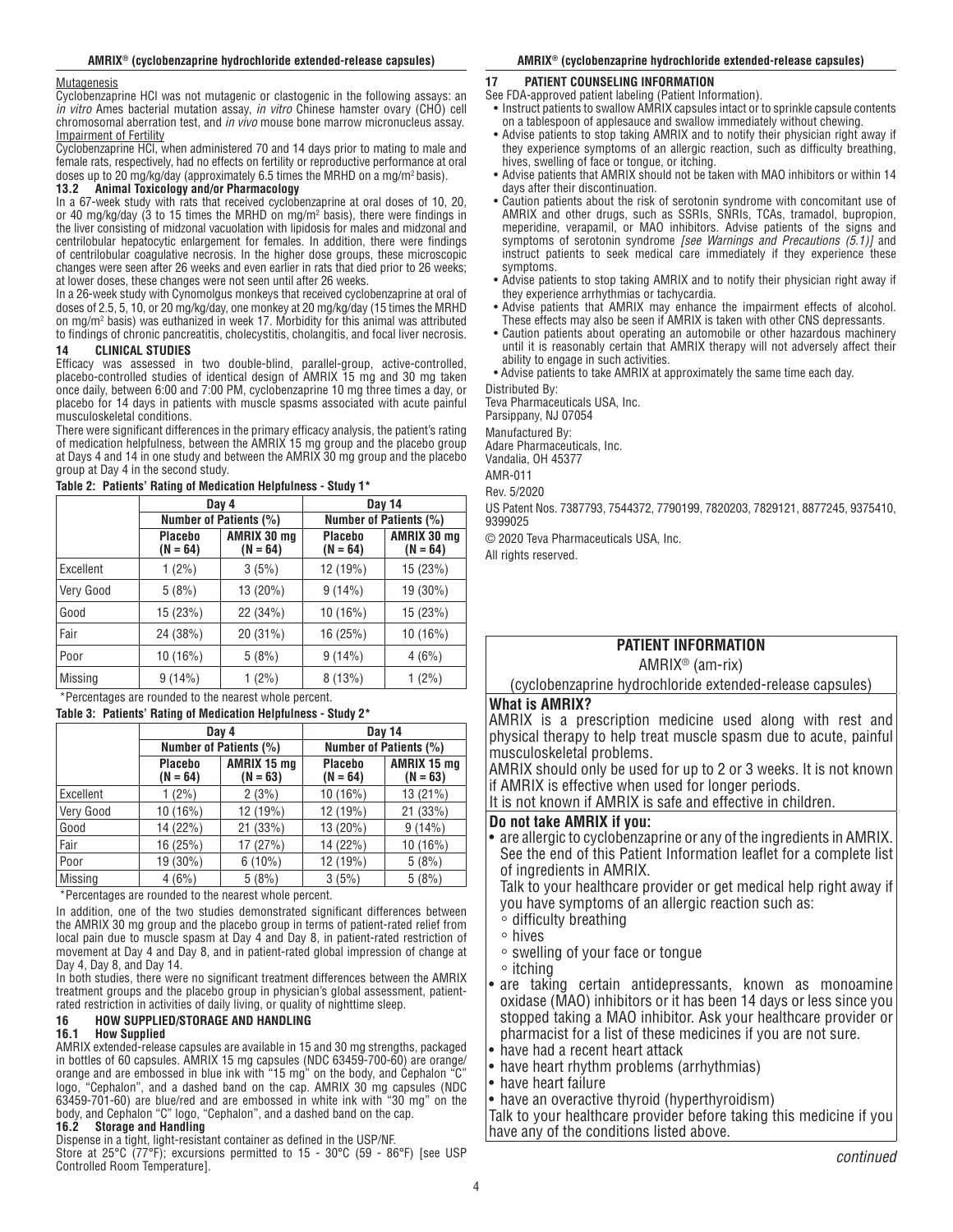Cyclobenzaprine HCl was not mutagenic or clastogenic in the following assays: an *in vitro* Ames bacterial mutation assay, *in vitro* Chinese hamster ovary (CHO) cell chromosomal aberration test, and *in vivo* mouse bone marrow micronucleus assay.

Cyclobenzaprine HCl, when administered 70 and 14 days prior to mating to male and female rats, respectively, had no effects on fertility or reproductive performance at oral doses up to 20 mg/kg/day (approximately 6.5 times the MRHD on a mg/m<sup>2</sup> basis).<br>**13.2 Animal Toxicology and/or Pharmacology** 

In a 67-week study with rats that received cyclobenzaprine at oral doses of 10, 20, or 40 mg/kg/day (3 to 15 times the MRHD on mg/m<sup>2</sup> basis), there were findings in the liver consisting of midzonal vacuolation with lipidosis for males and midzonal and centrilobular hepatocytic enlargement for females. In addition, there were findings of centrilobular coagulative necrosis. In the higher dose groups, these microscopic changes were seen after 26 weeks and even earlier in rats that died prior to 26 weeks;

In a 26-week study with Cynomolgus monkeys that received cyclobenzaprine at oral of doses of 2.5, 5, 10, or 20 mg/kg/day, one monkey at 20 mg/kg/day (15 times the MRHD on mg/m2 basis) was euthanized in week 17. Morbidity for this animal was attributed to findings of chronic pancreatitis, cholecystitis, cholangitis, and focal liver necrosis.

Efficacy was assessed in two double-blind, parallel-group, active-controlled, placebo-controlled studies of identical design of AMRIX 15 mg and 30 mg taken once daily, between 6:00 and 7:00 PM, cyclobenzaprine 10 mg three times a day, or placebo for 14 days in patients with muscle spasms associated with acute painful

There were significant differences in the primary efficacy analysis, the patient's rating of medication helpfulness, between the AMRIX 15 mg group and the placebo group at Days 4 and 14 in one study and between the AMRIX 30 mg group and the placebo

**13.2 Animal Toxicology and/or Pharmacology**

at lower doses, these changes were not seen until after 26 weeks.

Mutagenesis

Impairment of Fertility

**14 CLINICAL STUDIES**

musculoskeletal conditions.

#### **17 PATIENT COUNSELING INFORMATION**

See FDA-approved patient labeling (Patient Information).

- Instruct patients to swallow AMRIX capsules intact or to sprinkle capsule contents on a tablespoon of applesauce and swallow immediately without chewing.
- Advise patients to stop taking AMRIX and to notify their physician right away if they experience symptoms of an allergic reaction, such as difficulty breathing, hives, swelling of face or tongue, or itching.
- Advise patients that AMRIX should not be taken with MAO inhibitors or within 14 days after their discontinuation.
- Caution patients about the risk of serotonin syndrome with concomitant use of AMRIX and other drugs, such as SSRIs, SNRIs, TCAs, tramadol, bupropion, meperidine, verapamil, or MAO inhibitors. Advise patients of the signs and symptoms of serotonin syndrome *[see Warnings and Precautions (5.1)]* and instruct patients to seek medical care immediately if they experience these symptoms.
- Advise patients to stop taking AMRIX and to notify their physician right away if they experience arrhythmias or tachycardia.
- Advise patients that AMRIX may enhance the impairment effects of alcohol. These effects may also be seen if AMRIX is taken with other CNS depressants.
- Caution patients about operating an automobile or other hazardous machinery until it is reasonably certain that AMRIX therapy will not adversely affect their ability to engage in such activities.
- Advise patients to take AMRIX at approximately the same time each day.

Distributed By: Teva Pharmaceuticals USA, Inc. Parsippany, NJ 07054 Manufactured By:

Adare Pharmaceuticals, Inc.

Vandalia, OH 45377

AMR-011

Rev. 5/2020

US Patent Nos. 7387793, 7544372, 7790199, 7820203, 7829121, 8877245, 9375410, 9399025

© 2020 Teva Pharmaceuticals USA, Inc.

All rights reserved.

# **PATIENT INFORMATION**

AMRIX® (am-rix)

(cyclobenzaprine hydrochloride extended-release capsules)

# **What is AMRIX?**

AMRIX is a prescription medicine used along with rest and physical therapy to help treat muscle spasm due to acute, painful musculoskeletal problems.

AMRIX should only be used for up to 2 or 3 weeks. It is not known if AMRIX is effective when used for longer periods.

It is not known if AMRIX is safe and effective in children.

# **Do not take AMRIX if you:**

• are allergic to cyclobenzaprine or any of the ingredients in AMRIX. See the end of this Patient Information leaflet for a complete list of ingredients in AMRIX.

Talk to your healthcare provider or get medical help right away if you have symptoms of an allergic reaction such as:

- ◦difficulty breathing
- ◦hives
- ◦swelling of your face or tongue
- ◦itching
- are taking certain antidepressants, known as monoamine oxidase (MAO) inhibitors or it has been 14 days or less since you stopped taking a MAO inhibitor. Ask your healthcare provider or pharmacist for a list of these medicines if you are not sure.
- have had a recent heart attack
- have heart rhythm problems (arrhythmias)
- have heart failure

• have an overactive thyroid (hyperthyroidism)

Talk to your healthcare provider before taking this medicine if you have any of the conditions listed above.

# **16.2 Storage and Handling**

Dispense in a tight, light-resistant container as defined in the USP/NF. Store at 25°C (77°F); excursions permitted to 15 - 30°C (59 - 86°F) [see USP Controlled Room Temperature].

# group at Day 4 in the second study.

| Table 2: Patients' Rating of Medication Helpfulness - Study 1* |                                 |                           |                                  |                           |  |  |  |
|----------------------------------------------------------------|---------------------------------|---------------------------|----------------------------------|---------------------------|--|--|--|
|                                                                | Day 4<br>Number of Patients (%) |                           | Day 14<br>Number of Patients (%) |                           |  |  |  |
|                                                                |                                 |                           |                                  |                           |  |  |  |
|                                                                | <b>Placebo</b><br>$(N = 64)$    | AMRIX 30 mg<br>$(N = 64)$ | <b>Placebo</b><br>$(N = 64)$     | AMRIX 30 mg<br>$(N = 64)$ |  |  |  |
| Excellent                                                      | 1 (2%)                          | 3(5%)                     | 12 (19%)                         | 15 (23%)                  |  |  |  |
| Very Good                                                      | 5(8%)                           | 13 (20%)                  | 9(14%)                           | 19 (30%)                  |  |  |  |
| Good                                                           | 15 (23%)                        | 22 (34%)                  | 10 (16%)                         | 15 (23%)                  |  |  |  |
| Fair                                                           | 24 (38%)                        | 20 (31%)                  | 16 (25%)                         | 10(16%)                   |  |  |  |
| Poor                                                           | 10 (16%)                        | 5(8%)                     | 9(14%)                           | 4(6%)                     |  |  |  |
| <b>Missing</b>                                                 | $9(14\%)$                       | 1 (2%)                    | 8(13%)                           | $1(2\%)$                  |  |  |  |

\*Percentages are rounded to the nearest whole percent.

#### **Table 3: Patients' Rating of Medication Helpfulness - Study 2\***

|                | Day 4<br>Number of Patients (%) |                           | Day 14                 |                           |
|----------------|---------------------------------|---------------------------|------------------------|---------------------------|
|                |                                 |                           | Number of Patients (%) |                           |
|                | <b>Placebo</b><br>$(N = 64)$    | AMRIX 15 mg<br>$(N = 63)$ | Placebo<br>$(N = 64)$  | AMRIX 15 mg<br>$(N = 63)$ |
| Excellent      | $1(2\%)$                        | 2(3%)                     | 10(16%)                | 13 (21%)                  |
| Very Good      | 10 (16%)                        | 12 (19%)                  | 12 (19%)               | 21(33%)                   |
| Good           | 14 (22%)                        | 21(33%)                   | 13 (20%)               | $9(14\%)$                 |
| Fair           | 16 (25%)                        | 17 (27%)                  | 14 (22%)               | 10 (16%)                  |
| Poor           | 19 (30%)                        | $6(10\%)$                 | 12 (19%)               | 5(8%)                     |
| <b>Missing</b> | 4(6%)                           | 5(8%)                     | 3(5%)                  | 5(8%)                     |

\*Percentages are rounded to the nearest whole percent.

In addition, one of the two studies demonstrated significant differences between the AMRIX 30 mg group and the placebo group in terms of patient-rated relief from local pain due to muscle spasm at Day 4 and Day 8, in patient-rated restriction of movement at Day 4 and Day 8, and in patient-rated global impression of change at Day 4, Day 8, and Day 14.

In both studies, there were no significant treatment differences between the AMRIX treatment groups and the placebo group in physician's global assessment, patientrated restriction in activities of daily living, or quality of nighttime sleep.

# **16 HOW SUPPLIED/STORAGE AND HANDLING**

#### **16.1 How Supplied**

AMRIX extended-release capsules are available in 15 and 30 mg strengths, packaged in bottles of 60 capsules. AMRIX 15 mg capsules (NDC 63459-700-60) are orange/ orange and are embossed in blue ink with "15 mg" on the body, and Cephalon "C" logo, "Cephalon", and a dashed band on the cap. AMRIX 30 mg capsules (NDC 63459-701-60) are blue/red and are embossed in white ink with "30 mg" on the body, and Cephalon "C" logo, "Cephalon", and a dashed band on the cap.

*continued*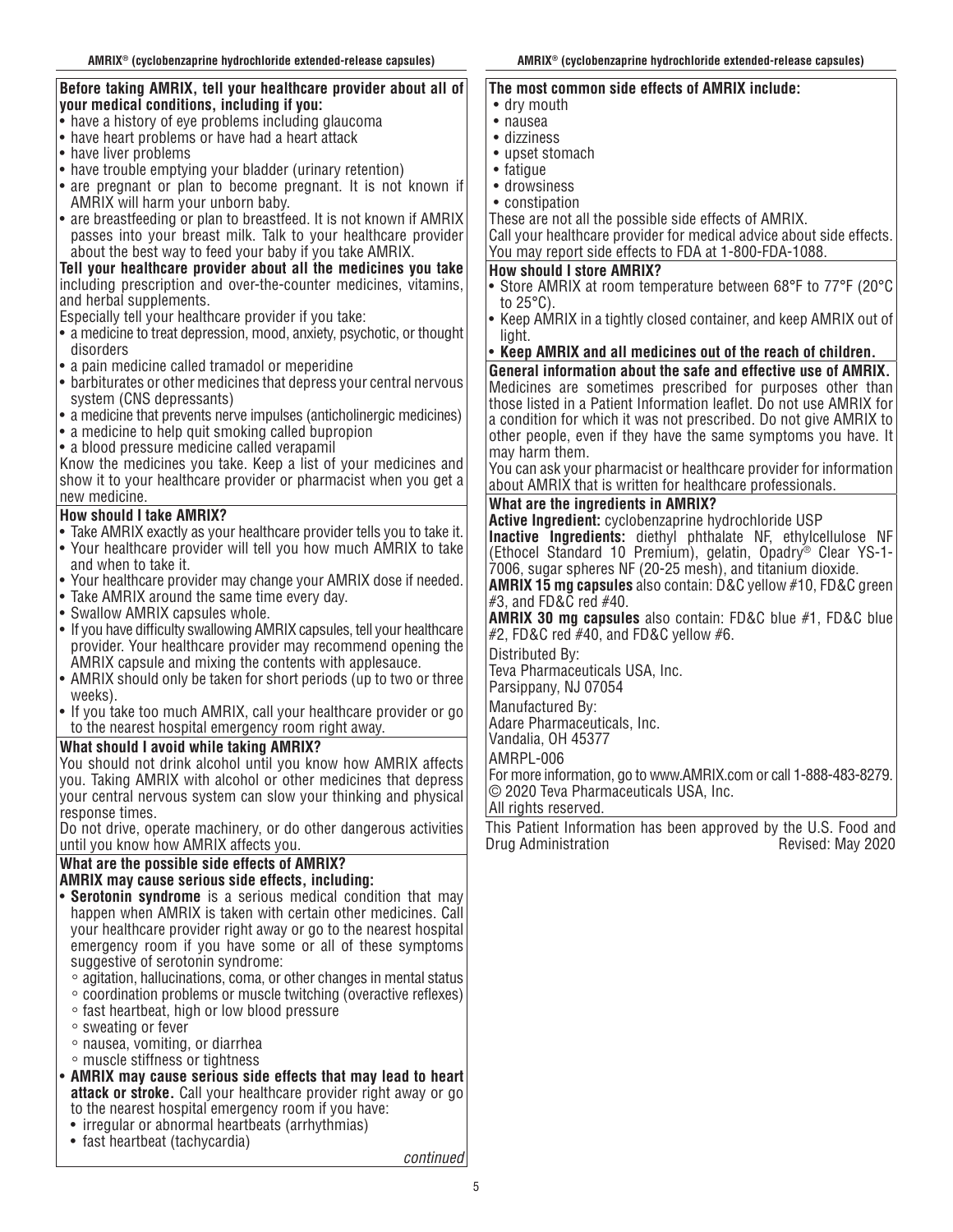# **Before taking AMRIX, tell your healthcare provider about all of your medical conditions, including if you:**

- have a history of eye problems including glaucoma
- have heart problems or have had a heart attack
- have liver problems
- have trouble emptying your bladder (urinary retention)
- are pregnant or plan to become pregnant. It is not known if AMRIX will harm your unborn baby.
- are breastfeeding or plan to breastfeed. It is not known if AMRIX passes into your breast milk. Talk to your healthcare provider about the best way to feed your baby if you take AMRIX.

# **Tell your healthcare provider about all the medicines you take** including prescription and over-the-counter medicines, vitamins, and herbal supplements.

Especially tell your healthcare provider if you take:

- a medicine to treat depression, mood, anxiety, psychotic, or thought disorders
- a pain medicine called tramadol or meperidine
- barbiturates or other medicines that depress your central nervous system (CNS depressants)
- a medicine that prevents nerve impulses (anticholinergic medicines)
- a medicine to help quit smoking called bupropion
- a blood pressure medicine called verapamil

Know the medicines you take. Keep a list of your medicines and show it to your healthcare provider or pharmacist when you get a new medicine.

# **How should I take AMRIX?**

- Take AMRIX exactly as your healthcare provider tells you to take it.
- Your healthcare provider will tell you how much AMRIX to take and when to take it.
- Your healthcare provider may change your AMRIX dose if needed.
- Take AMRIX around the same time every day.
- Swallow AMRIX capsules whole.
- If you have difficulty swallowing AMRIX capsules, tell your healthcare provider. Your healthcare provider may recommend opening the AMRIX capsule and mixing the contents with applesauce.
- AMRIX should only be taken for short periods (up to two or three weeks).
- If you take too much AMRIX, call your healthcare provider or go to the nearest hospital emergency room right away.

# **What should I avoid while taking AMRIX?**

You should not drink alcohol until you know how AMRIX affects you. Taking AMRIX with alcohol or other medicines that depress your central nervous system can slow your thinking and physical response times.

Do not drive, operate machinery, or do other dangerous activities until you know how AMRIX affects you.

# **What are the possible side effects of AMRIX?**

**AMRIX may cause serious side effects, including:**

- **Serotonin syndrome** is a serious medical condition that may happen when AMRIX is taken with certain other medicines. Call your healthcare provider right away or go to the nearest hospital emergency room if you have some or all of these symptoms suggestive of serotonin syndrome:
- ◦agitation, hallucinations, coma, or other changes in mental status
- ◦coordination problems or muscle twitching (overactive reflexes)
- ◦fast heartbeat, high or low blood pressure
- ◦sweating or fever
- ◦nausea, vomiting, or diarrhea
- ◦muscle stiffness or tightness
- **AMRIX may cause serious side effects that may lead to heart attack or stroke.** Call your healthcare provider right away or go to the nearest hospital emergency room if you have:
- irregular or abnormal heartbeats (arrhythmias)
- fast heartbeat (tachycardia)

# *continued*

**The most common side effects of AMRIX include:**

- dry mouth
- nausea
- dizziness
- upset stomach
- fatigue
- drowsiness
- constipation

These are not all the possible side effects of AMRIX.

Call your healthcare provider for medical advice about side effects. You may report side effects to FDA at 1-800-FDA-1088.

# **How should I store AMRIX?**

- Store AMRIX at room temperature between 68°F to 77°F (20°C to 25°C).
- Keep AMRIX in a tightly closed container, and keep AMRIX out of light.
- **Keep AMRIX and all medicines out of the reach of children.**

**General information about the safe and effective use of AMRIX.** Medicines are sometimes prescribed for purposes other than those listed in a Patient Information leaflet. Do not use AMRIX for a condition for which it was not prescribed. Do not give AMRIX to other people, even if they have the same symptoms you have. It may harm them.

You can ask your pharmacist or healthcare provider for information about AMRIX that is written for healthcare professionals.

# **What are the ingredients in AMRIX?**

**Active Ingredient:** cyclobenzaprine hydrochloride USP

**Inactive Ingredients:** diethyl phthalate NF, ethylcellulose NF (Ethocel Standard 10 Premium), gelatin, Opadry® Clear YS-1- 7006, sugar spheres NF (20-25 mesh), and titanium dioxide.

**AMRIX 15 mg capsules** also contain: D&C yellow #10, FD&C green #3, and FD&C red #40.

**AMRIX 30 mg capsules** also contain: FD&C blue #1, FD&C blue #2, FD&C red #40, and FD&C yellow #6.

Distributed By:

Teva Pharmaceuticals USA, Inc.

Parsippany, NJ 07054

Manufactured By:

Adare Pharmaceuticals, Inc. Vandalia, OH 45377

AMRPL-006

For more information, go to www.AMRIX.com or call 1-888-483-8279. © 2020 Teva Pharmaceuticals USA, Inc.

All rights reserved.

This Patient Information has been approved by the U.S. Food and Drug Administration **Revised:** May 2020